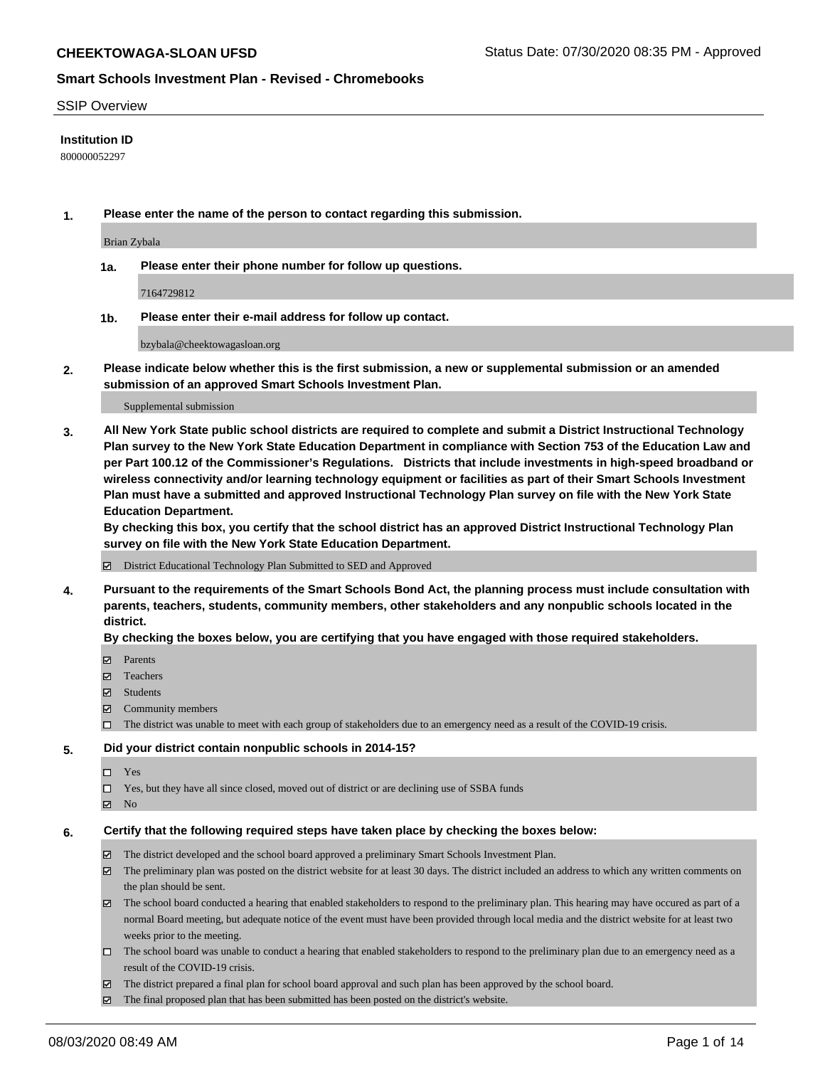## SSIP Overview

## **Institution ID**

800000052297

**1. Please enter the name of the person to contact regarding this submission.**

Brian Zybala

**1a. Please enter their phone number for follow up questions.**

7164729812

**1b. Please enter their e-mail address for follow up contact.**

bzybala@cheektowagasloan.org

**2. Please indicate below whether this is the first submission, a new or supplemental submission or an amended submission of an approved Smart Schools Investment Plan.**

#### Supplemental submission

**3. All New York State public school districts are required to complete and submit a District Instructional Technology Plan survey to the New York State Education Department in compliance with Section 753 of the Education Law and per Part 100.12 of the Commissioner's Regulations. Districts that include investments in high-speed broadband or wireless connectivity and/or learning technology equipment or facilities as part of their Smart Schools Investment Plan must have a submitted and approved Instructional Technology Plan survey on file with the New York State Education Department.** 

**By checking this box, you certify that the school district has an approved District Instructional Technology Plan survey on file with the New York State Education Department.**

District Educational Technology Plan Submitted to SED and Approved

**4. Pursuant to the requirements of the Smart Schools Bond Act, the planning process must include consultation with parents, teachers, students, community members, other stakeholders and any nonpublic schools located in the district.** 

#### **By checking the boxes below, you are certifying that you have engaged with those required stakeholders.**

- **□** Parents
- Teachers
- Students
- $\boxtimes$  Community members
- The district was unable to meet with each group of stakeholders due to an emergency need as a result of the COVID-19 crisis.

## **5. Did your district contain nonpublic schools in 2014-15?**

- $\neg$  Yes
- Yes, but they have all since closed, moved out of district or are declining use of SSBA funds
- **Z** No

#### **6. Certify that the following required steps have taken place by checking the boxes below:**

- The district developed and the school board approved a preliminary Smart Schools Investment Plan.
- $\boxtimes$  The preliminary plan was posted on the district website for at least 30 days. The district included an address to which any written comments on the plan should be sent.
- $\boxtimes$  The school board conducted a hearing that enabled stakeholders to respond to the preliminary plan. This hearing may have occured as part of a normal Board meeting, but adequate notice of the event must have been provided through local media and the district website for at least two weeks prior to the meeting.
- The school board was unable to conduct a hearing that enabled stakeholders to respond to the preliminary plan due to an emergency need as a result of the COVID-19 crisis.
- The district prepared a final plan for school board approval and such plan has been approved by the school board.
- $\boxtimes$  The final proposed plan that has been submitted has been posted on the district's website.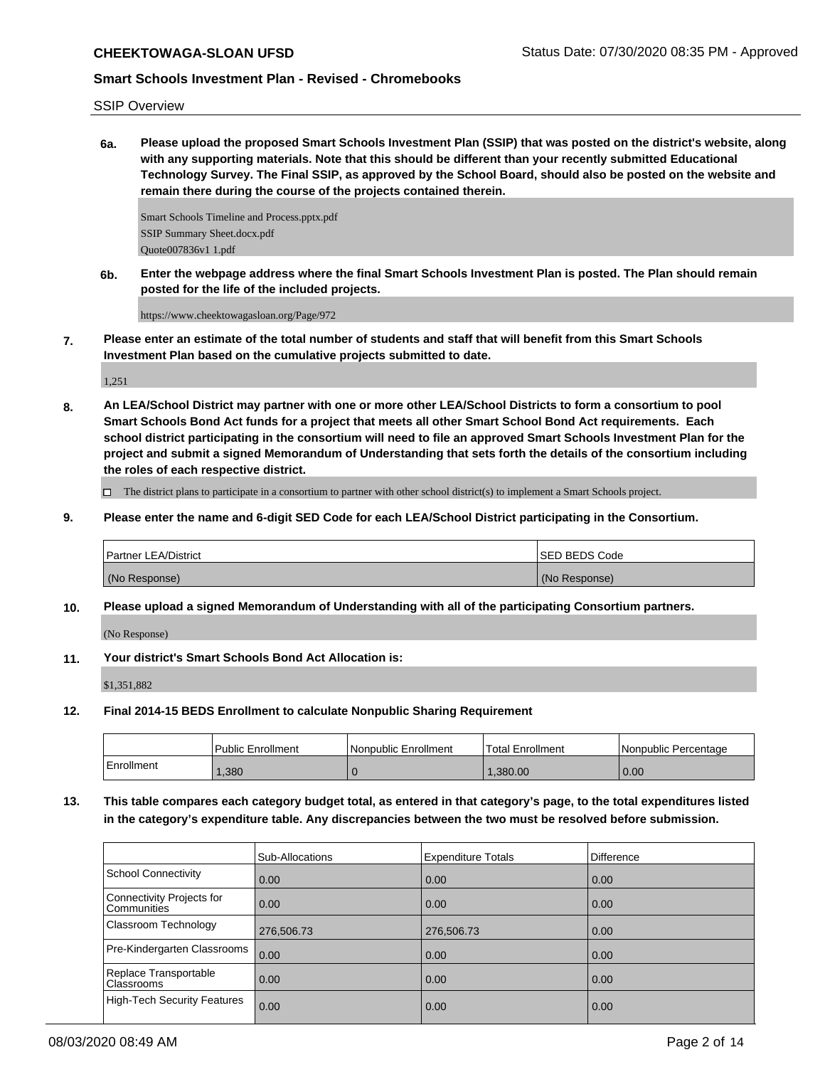SSIP Overview

**6a. Please upload the proposed Smart Schools Investment Plan (SSIP) that was posted on the district's website, along with any supporting materials. Note that this should be different than your recently submitted Educational Technology Survey. The Final SSIP, as approved by the School Board, should also be posted on the website and remain there during the course of the projects contained therein.**

Smart Schools Timeline and Process.pptx.pdf SSIP Summary Sheet.docx.pdf Quote007836v1 1.pdf

**6b. Enter the webpage address where the final Smart Schools Investment Plan is posted. The Plan should remain posted for the life of the included projects.**

https://www.cheektowagasloan.org/Page/972

**7. Please enter an estimate of the total number of students and staff that will benefit from this Smart Schools Investment Plan based on the cumulative projects submitted to date.**

1,251

**8. An LEA/School District may partner with one or more other LEA/School Districts to form a consortium to pool Smart Schools Bond Act funds for a project that meets all other Smart School Bond Act requirements. Each school district participating in the consortium will need to file an approved Smart Schools Investment Plan for the project and submit a signed Memorandum of Understanding that sets forth the details of the consortium including the roles of each respective district.**

The district plans to participate in a consortium to partner with other school district(s) to implement a Smart Schools project.

**9. Please enter the name and 6-digit SED Code for each LEA/School District participating in the Consortium.**

| <b>Partner LEA/District</b> | <b>ISED BEDS Code</b> |
|-----------------------------|-----------------------|
| (No Response)               | (No Response)         |

**10. Please upload a signed Memorandum of Understanding with all of the participating Consortium partners.**

(No Response)

**11. Your district's Smart Schools Bond Act Allocation is:**

\$1,351,882

**12. Final 2014-15 BEDS Enrollment to calculate Nonpublic Sharing Requirement**

|              | Public Enrollment | l Nonpublic Enrollment | <b>Total Enrollment</b> | I Nonpublic Percentage |
|--------------|-------------------|------------------------|-------------------------|------------------------|
| l Enrollment | .380              |                        | 1.380.00                | 0.00                   |

**13. This table compares each category budget total, as entered in that category's page, to the total expenditures listed in the category's expenditure table. Any discrepancies between the two must be resolved before submission.**

|                                                 | Sub-Allocations | <b>Expenditure Totals</b> | Difference |
|-------------------------------------------------|-----------------|---------------------------|------------|
| School Connectivity                             | 0.00            | 0.00                      | 0.00       |
| Connectivity Projects for<br><b>Communities</b> | 0.00            | 0.00                      | 0.00       |
| <b>Classroom Technology</b>                     | 276,506.73      | 276,506.73                | 0.00       |
| Pre-Kindergarten Classrooms                     | 0.00            | 0.00                      | 0.00       |
| Replace Transportable<br>Classrooms             | 0.00            | 0.00                      | 0.00       |
| High-Tech Security Features                     | 0.00            | 0.00                      | 0.00       |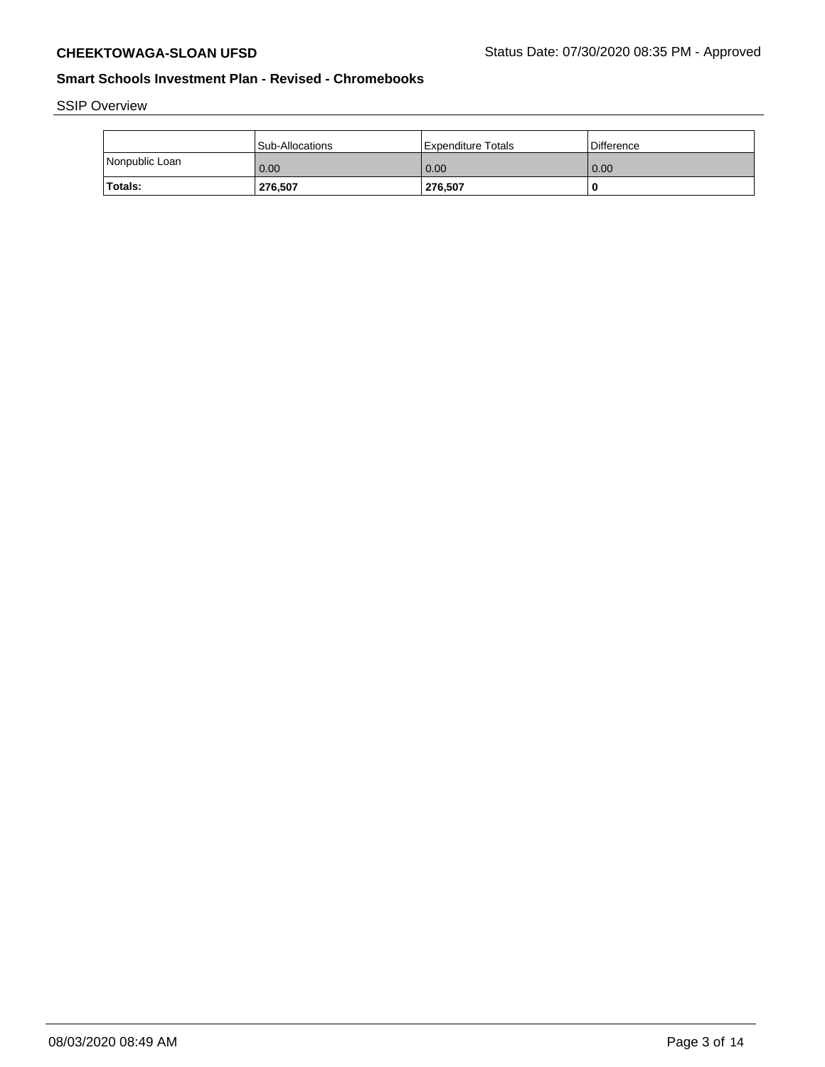SSIP Overview

|                | <b>Sub-Allocations</b> | Expenditure Totals | <b>Difference</b> |
|----------------|------------------------|--------------------|-------------------|
| Nonpublic Loan | 0.00                   | 0.00               | 0.00              |
| <b>Totals:</b> | 276,507                | 276.507            | -C                |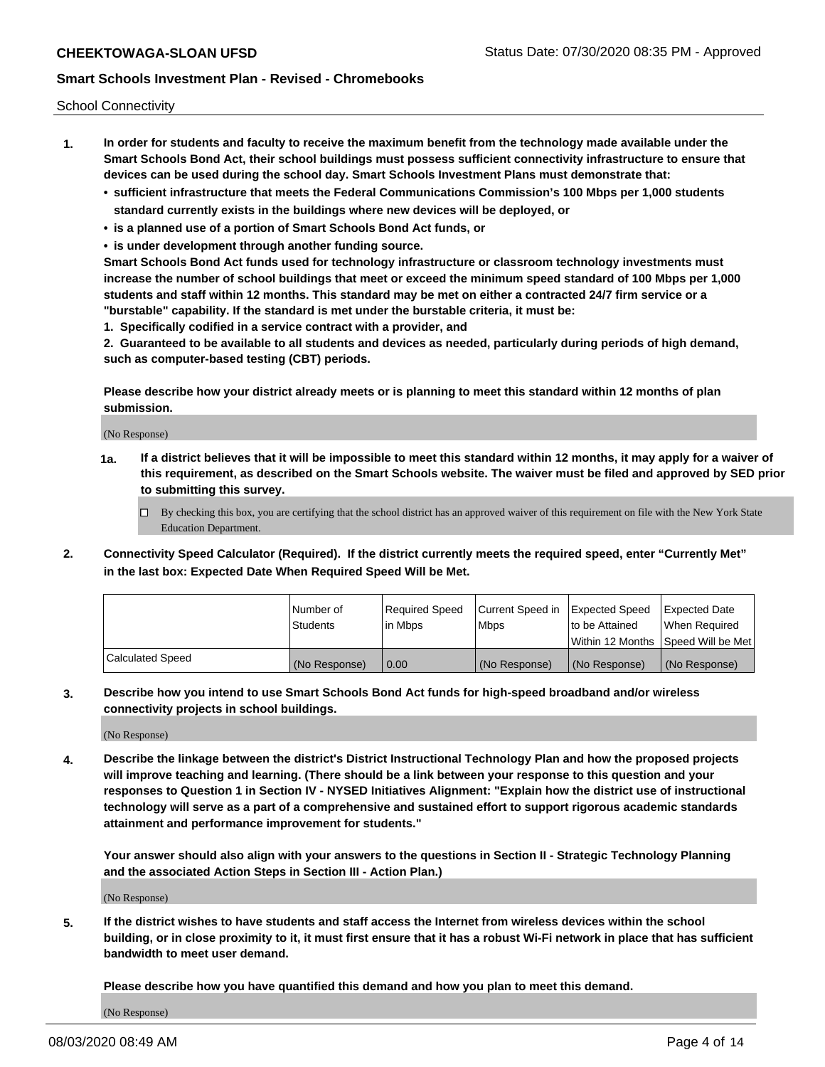School Connectivity

- **1. In order for students and faculty to receive the maximum benefit from the technology made available under the Smart Schools Bond Act, their school buildings must possess sufficient connectivity infrastructure to ensure that devices can be used during the school day. Smart Schools Investment Plans must demonstrate that:**
	- **• sufficient infrastructure that meets the Federal Communications Commission's 100 Mbps per 1,000 students standard currently exists in the buildings where new devices will be deployed, or**
	- **• is a planned use of a portion of Smart Schools Bond Act funds, or**
	- **• is under development through another funding source.**

**Smart Schools Bond Act funds used for technology infrastructure or classroom technology investments must increase the number of school buildings that meet or exceed the minimum speed standard of 100 Mbps per 1,000 students and staff within 12 months. This standard may be met on either a contracted 24/7 firm service or a "burstable" capability. If the standard is met under the burstable criteria, it must be:**

**1. Specifically codified in a service contract with a provider, and**

**2. Guaranteed to be available to all students and devices as needed, particularly during periods of high demand, such as computer-based testing (CBT) periods.**

**Please describe how your district already meets or is planning to meet this standard within 12 months of plan submission.**

(No Response)

**1a. If a district believes that it will be impossible to meet this standard within 12 months, it may apply for a waiver of this requirement, as described on the Smart Schools website. The waiver must be filed and approved by SED prior to submitting this survey.**

 $\Box$  By checking this box, you are certifying that the school district has an approved waiver of this requirement on file with the New York State Education Department.

**2. Connectivity Speed Calculator (Required). If the district currently meets the required speed, enter "Currently Met" in the last box: Expected Date When Required Speed Will be Met.**

|                  | l Number of     | Required Speed | Current Speed in | Expected Speed | Expected Date                           |
|------------------|-----------------|----------------|------------------|----------------|-----------------------------------------|
|                  | <b>Students</b> | In Mbps        | l Mbps           | to be Attained | When Required                           |
|                  |                 |                |                  |                | l Within 12 Months ISpeed Will be Met l |
| Calculated Speed | (No Response)   | 0.00           | (No Response)    | (No Response)  | (No Response)                           |

**3. Describe how you intend to use Smart Schools Bond Act funds for high-speed broadband and/or wireless connectivity projects in school buildings.**

(No Response)

**4. Describe the linkage between the district's District Instructional Technology Plan and how the proposed projects will improve teaching and learning. (There should be a link between your response to this question and your responses to Question 1 in Section IV - NYSED Initiatives Alignment: "Explain how the district use of instructional technology will serve as a part of a comprehensive and sustained effort to support rigorous academic standards attainment and performance improvement for students."** 

**Your answer should also align with your answers to the questions in Section II - Strategic Technology Planning and the associated Action Steps in Section III - Action Plan.)**

(No Response)

**5. If the district wishes to have students and staff access the Internet from wireless devices within the school building, or in close proximity to it, it must first ensure that it has a robust Wi-Fi network in place that has sufficient bandwidth to meet user demand.**

**Please describe how you have quantified this demand and how you plan to meet this demand.**

(No Response)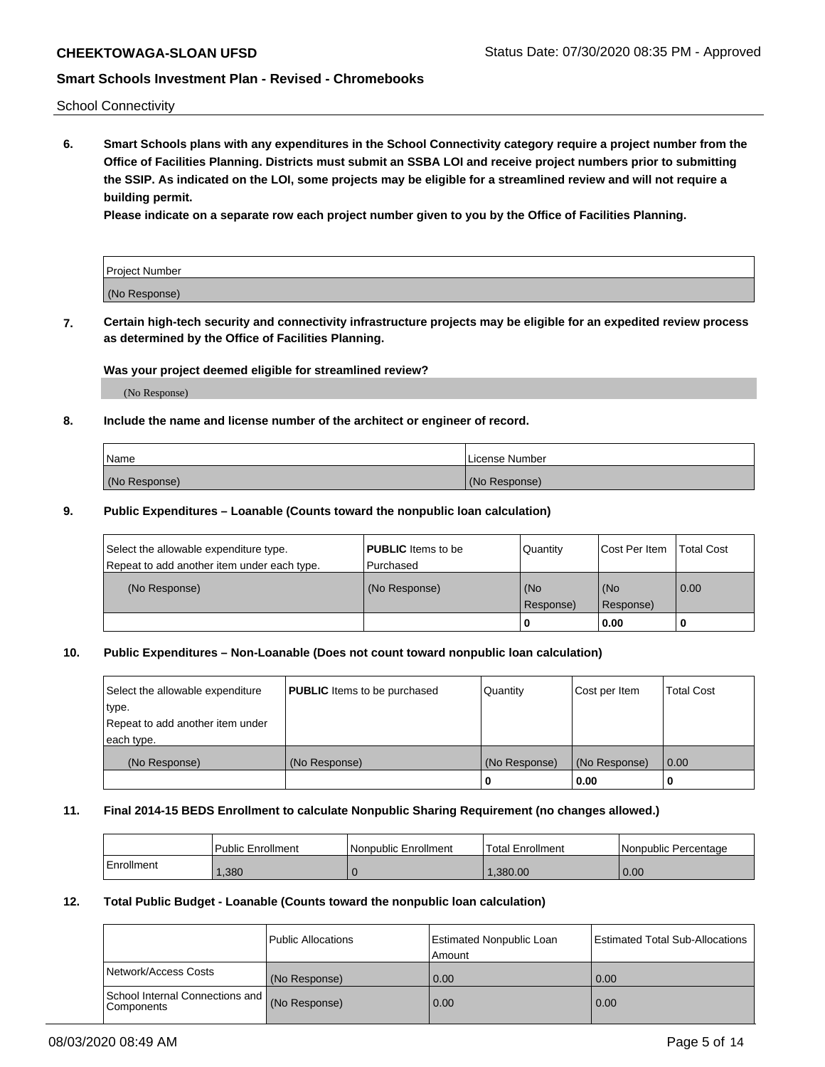School Connectivity

**6. Smart Schools plans with any expenditures in the School Connectivity category require a project number from the Office of Facilities Planning. Districts must submit an SSBA LOI and receive project numbers prior to submitting the SSIP. As indicated on the LOI, some projects may be eligible for a streamlined review and will not require a building permit.**

**Please indicate on a separate row each project number given to you by the Office of Facilities Planning.**

| Project Number |  |
|----------------|--|
| (No Response)  |  |

**7. Certain high-tech security and connectivity infrastructure projects may be eligible for an expedited review process as determined by the Office of Facilities Planning.**

## **Was your project deemed eligible for streamlined review?**

(No Response)

## **8. Include the name and license number of the architect or engineer of record.**

| Name          | License Number |
|---------------|----------------|
| (No Response) | (No Response)  |

## **9. Public Expenditures – Loanable (Counts toward the nonpublic loan calculation)**

| Select the allowable expenditure type.<br>Repeat to add another item under each type. | <b>PUBLIC</b> Items to be<br>l Purchased | Quantity           | Cost Per Item    | <b>Total Cost</b> |
|---------------------------------------------------------------------------------------|------------------------------------------|--------------------|------------------|-------------------|
| (No Response)                                                                         | (No Response)                            | l (No<br>Response) | (No<br>Response) | $\overline{0.00}$ |
|                                                                                       |                                          | 0                  | 0.00             |                   |

## **10. Public Expenditures – Non-Loanable (Does not count toward nonpublic loan calculation)**

| Select the allowable expenditure | <b>PUBLIC</b> Items to be purchased | Quantity      | Cost per Item | <b>Total Cost</b> |
|----------------------------------|-------------------------------------|---------------|---------------|-------------------|
| type.                            |                                     |               |               |                   |
| Repeat to add another item under |                                     |               |               |                   |
| each type.                       |                                     |               |               |                   |
| (No Response)                    | (No Response)                       | (No Response) | (No Response) | 0.00              |
|                                  |                                     |               | 0.00          |                   |

#### **11. Final 2014-15 BEDS Enrollment to calculate Nonpublic Sharing Requirement (no changes allowed.)**

|            | Public Enrollment | l Nonpublic Enrollment | <b>Total Enrollment</b> | Nonpublic Percentage |
|------------|-------------------|------------------------|-------------------------|----------------------|
| Enrollment | ,380              |                        | .380.00                 | 0.00                 |

## **12. Total Public Budget - Loanable (Counts toward the nonpublic loan calculation)**

|                                                      | Public Allocations | <b>Estimated Nonpublic Loan</b><br>Amount | Estimated Total Sub-Allocations |
|------------------------------------------------------|--------------------|-------------------------------------------|---------------------------------|
| Network/Access Costs                                 | (No Response)      | 0.00                                      | 0.00                            |
| School Internal Connections and<br><b>Components</b> | (No Response)      | 0.00                                      | 0.00                            |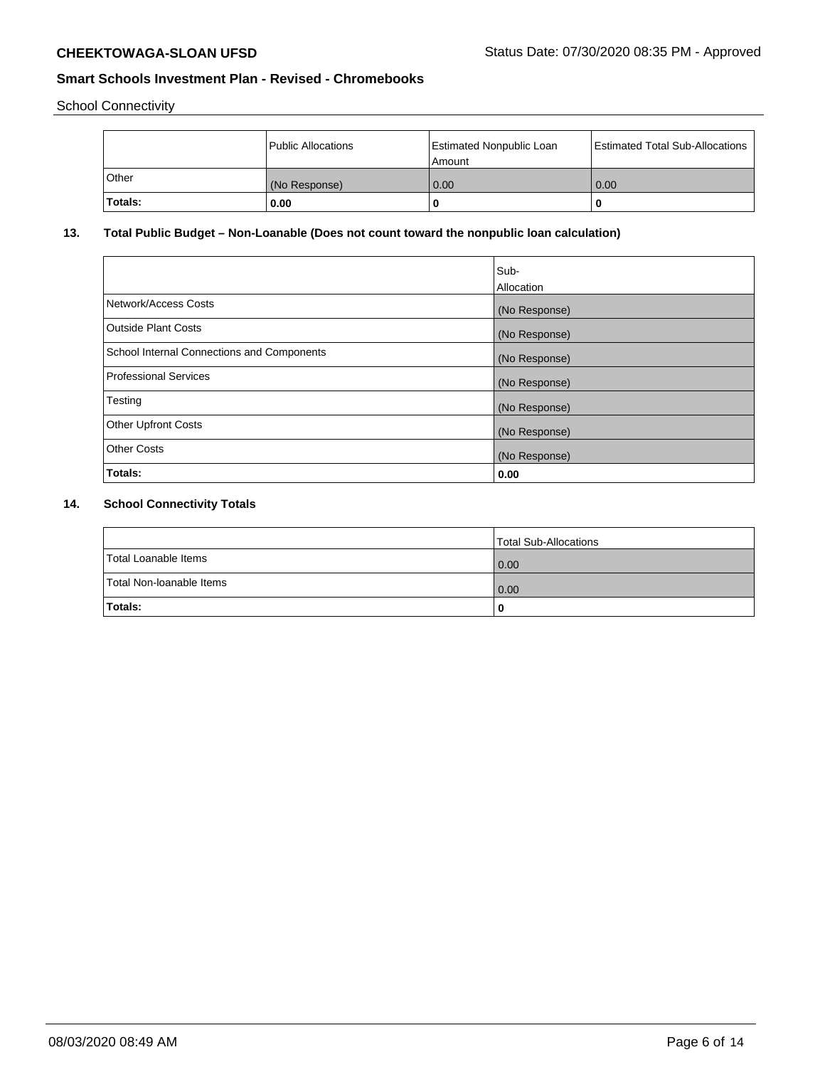School Connectivity

|         | <b>Public Allocations</b> | <b>Estimated Nonpublic Loan</b><br>Amount | <b>Estimated Total Sub-Allocations</b> |
|---------|---------------------------|-------------------------------------------|----------------------------------------|
| Other   | (No Response)             | 0.00                                      | 0.00                                   |
| Totals: | 0.00                      |                                           | O                                      |

# **13. Total Public Budget – Non-Loanable (Does not count toward the nonpublic loan calculation)**

|                                                   | Sub-<br>Allocation |
|---------------------------------------------------|--------------------|
| Network/Access Costs                              | (No Response)      |
| <b>Outside Plant Costs</b>                        | (No Response)      |
| <b>School Internal Connections and Components</b> | (No Response)      |
| Professional Services                             | (No Response)      |
| Testing                                           | (No Response)      |
| <b>Other Upfront Costs</b>                        | (No Response)      |
| <b>Other Costs</b>                                | (No Response)      |
| Totals:                                           | 0.00               |

# **14. School Connectivity Totals**

|                          | Total Sub-Allocations |
|--------------------------|-----------------------|
| Total Loanable Items     | 0.00                  |
| Total Non-Ioanable Items | 0.00                  |
| Totals:                  | 0                     |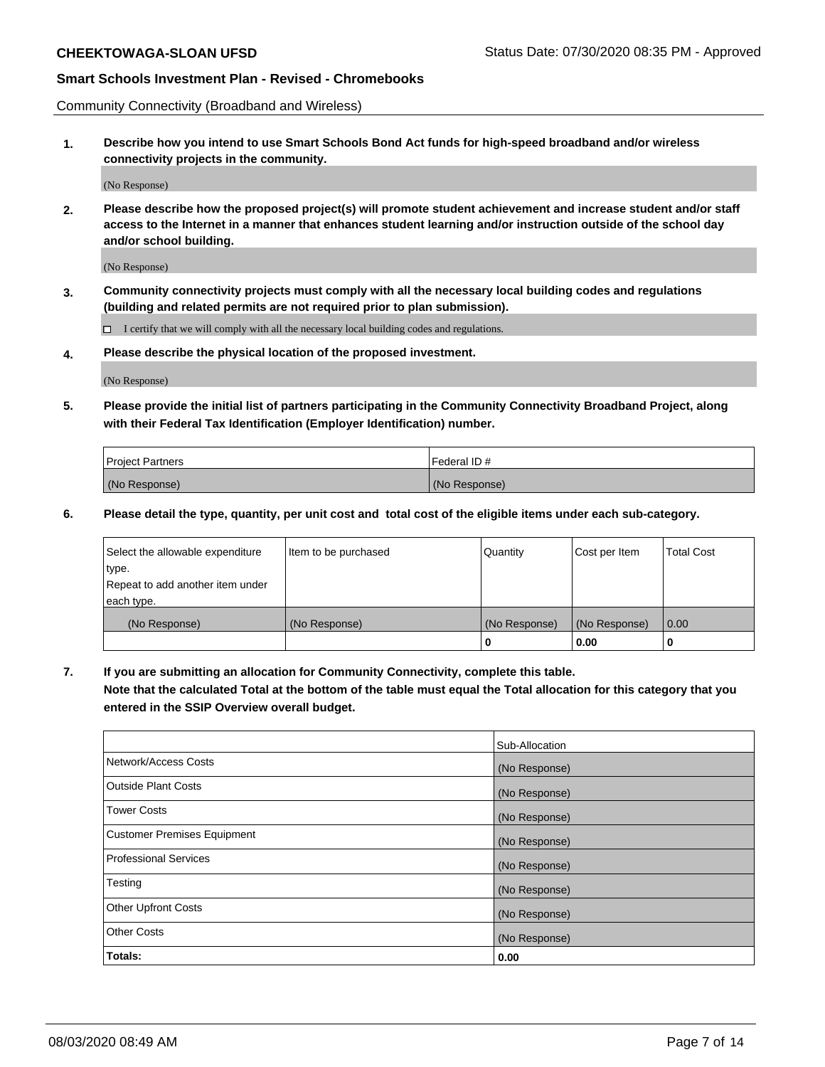Community Connectivity (Broadband and Wireless)

**1. Describe how you intend to use Smart Schools Bond Act funds for high-speed broadband and/or wireless connectivity projects in the community.**

(No Response)

**2. Please describe how the proposed project(s) will promote student achievement and increase student and/or staff access to the Internet in a manner that enhances student learning and/or instruction outside of the school day and/or school building.**

(No Response)

**3. Community connectivity projects must comply with all the necessary local building codes and regulations (building and related permits are not required prior to plan submission).**

 $\Box$  I certify that we will comply with all the necessary local building codes and regulations.

**4. Please describe the physical location of the proposed investment.**

(No Response)

**5. Please provide the initial list of partners participating in the Community Connectivity Broadband Project, along with their Federal Tax Identification (Employer Identification) number.**

| <b>Project Partners</b> | l Federal ID # |
|-------------------------|----------------|
| (No Response)           | (No Response)  |

**6. Please detail the type, quantity, per unit cost and total cost of the eligible items under each sub-category.**

| Select the allowable expenditure | Item to be purchased | Quantity      | Cost per Item | <b>Total Cost</b> |
|----------------------------------|----------------------|---------------|---------------|-------------------|
| type.                            |                      |               |               |                   |
| Repeat to add another item under |                      |               |               |                   |
| each type.                       |                      |               |               |                   |
| (No Response)                    | (No Response)        | (No Response) | (No Response) | 0.00              |
|                                  |                      | o             | 0.00          |                   |

**7. If you are submitting an allocation for Community Connectivity, complete this table.**

**Note that the calculated Total at the bottom of the table must equal the Total allocation for this category that you entered in the SSIP Overview overall budget.**

|                                    | Sub-Allocation |
|------------------------------------|----------------|
| Network/Access Costs               | (No Response)  |
| Outside Plant Costs                | (No Response)  |
| <b>Tower Costs</b>                 | (No Response)  |
| <b>Customer Premises Equipment</b> | (No Response)  |
| <b>Professional Services</b>       | (No Response)  |
| Testing                            | (No Response)  |
| <b>Other Upfront Costs</b>         | (No Response)  |
| <b>Other Costs</b>                 | (No Response)  |
| Totals:                            | 0.00           |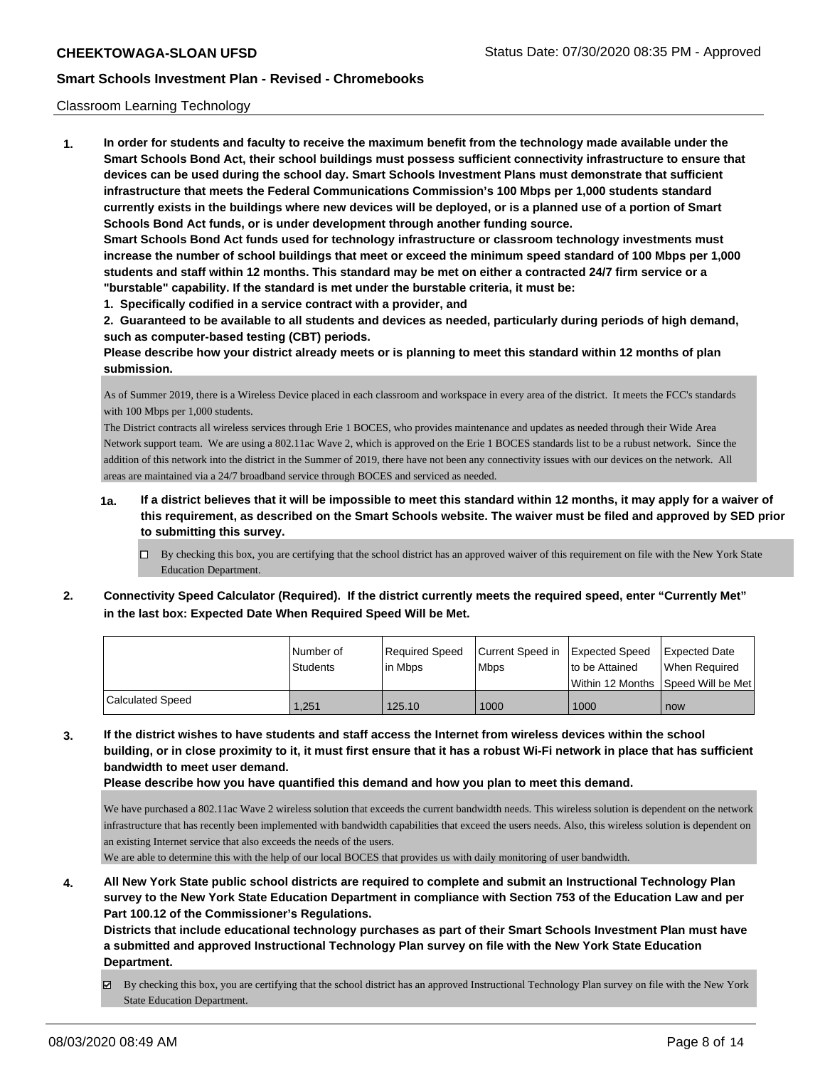## Classroom Learning Technology

**1. In order for students and faculty to receive the maximum benefit from the technology made available under the Smart Schools Bond Act, their school buildings must possess sufficient connectivity infrastructure to ensure that devices can be used during the school day. Smart Schools Investment Plans must demonstrate that sufficient infrastructure that meets the Federal Communications Commission's 100 Mbps per 1,000 students standard currently exists in the buildings where new devices will be deployed, or is a planned use of a portion of Smart Schools Bond Act funds, or is under development through another funding source. Smart Schools Bond Act funds used for technology infrastructure or classroom technology investments must**

**increase the number of school buildings that meet or exceed the minimum speed standard of 100 Mbps per 1,000 students and staff within 12 months. This standard may be met on either a contracted 24/7 firm service or a "burstable" capability. If the standard is met under the burstable criteria, it must be:**

**1. Specifically codified in a service contract with a provider, and**

**2. Guaranteed to be available to all students and devices as needed, particularly during periods of high demand, such as computer-based testing (CBT) periods.**

**Please describe how your district already meets or is planning to meet this standard within 12 months of plan submission.**

As of Summer 2019, there is a Wireless Device placed in each classroom and workspace in every area of the district. It meets the FCC's standards with 100 Mbps per 1,000 students.

The District contracts all wireless services through Erie 1 BOCES, who provides maintenance and updates as needed through their Wide Area Network support team. We are using a 802.11ac Wave 2, which is approved on the Erie 1 BOCES standards list to be a rubust network. Since the addition of this network into the district in the Summer of 2019, there have not been any connectivity issues with our devices on the network. All areas are maintained via a 24/7 broadband service through BOCES and serviced as needed.

- **1a. If a district believes that it will be impossible to meet this standard within 12 months, it may apply for a waiver of this requirement, as described on the Smart Schools website. The waiver must be filed and approved by SED prior to submitting this survey.**
	- By checking this box, you are certifying that the school district has an approved waiver of this requirement on file with the New York State Education Department.
- **2. Connectivity Speed Calculator (Required). If the district currently meets the required speed, enter "Currently Met" in the last box: Expected Date When Required Speed Will be Met.**

|                         | l Number of<br>Students | Reauired Speed<br>l in Mbps | Current Speed in Expected Speed<br><b>Mbps</b> | Ito be Attained                     | <b>Expected Date</b><br>When Reauired |
|-------------------------|-------------------------|-----------------------------|------------------------------------------------|-------------------------------------|---------------------------------------|
|                         |                         |                             |                                                | Within 12 Months 1Speed Will be Met |                                       |
| <b>Calculated Speed</b> | 1.251                   | 125.10                      | 1000                                           | 1000                                | now                                   |

**3. If the district wishes to have students and staff access the Internet from wireless devices within the school building, or in close proximity to it, it must first ensure that it has a robust Wi-Fi network in place that has sufficient bandwidth to meet user demand.**

**Please describe how you have quantified this demand and how you plan to meet this demand.**

We have purchased a 802.11ac Wave 2 wireless solution that exceeds the current bandwidth needs. This wireless solution is dependent on the network infrastructure that has recently been implemented with bandwidth capabilities that exceed the users needs. Also, this wireless solution is dependent on an existing Internet service that also exceeds the needs of the users.

We are able to determine this with the help of our local BOCES that provides us with daily monitoring of user bandwidth.

**4. All New York State public school districts are required to complete and submit an Instructional Technology Plan survey to the New York State Education Department in compliance with Section 753 of the Education Law and per Part 100.12 of the Commissioner's Regulations.**

**Districts that include educational technology purchases as part of their Smart Schools Investment Plan must have a submitted and approved Instructional Technology Plan survey on file with the New York State Education Department.**

By checking this box, you are certifying that the school district has an approved Instructional Technology Plan survey on file with the New York State Education Department.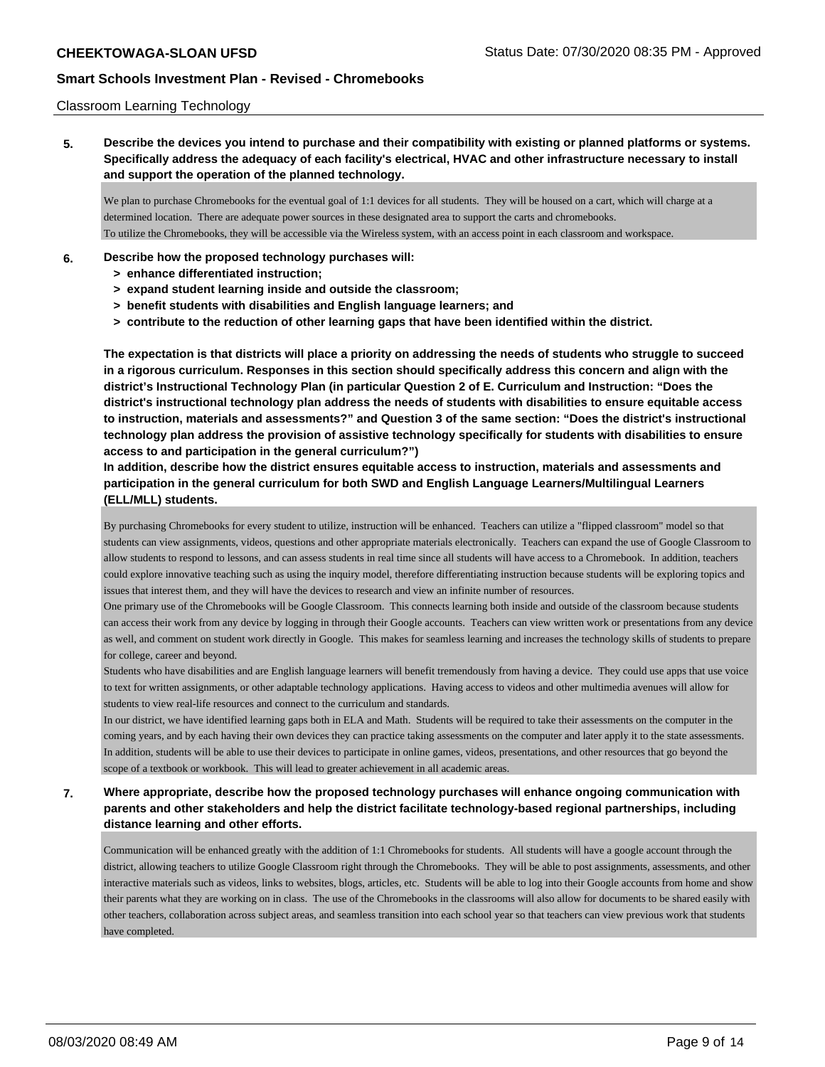## Classroom Learning Technology

**5. Describe the devices you intend to purchase and their compatibility with existing or planned platforms or systems. Specifically address the adequacy of each facility's electrical, HVAC and other infrastructure necessary to install and support the operation of the planned technology.**

We plan to purchase Chromebooks for the eventual goal of 1:1 devices for all students. They will be housed on a cart, which will charge at a determined location. There are adequate power sources in these designated area to support the carts and chromebooks. To utilize the Chromebooks, they will be accessible via the Wireless system, with an access point in each classroom and workspace.

- **6. Describe how the proposed technology purchases will:**
	- **> enhance differentiated instruction;**
	- **> expand student learning inside and outside the classroom;**
	- **> benefit students with disabilities and English language learners; and**
	- **> contribute to the reduction of other learning gaps that have been identified within the district.**

**The expectation is that districts will place a priority on addressing the needs of students who struggle to succeed in a rigorous curriculum. Responses in this section should specifically address this concern and align with the district's Instructional Technology Plan (in particular Question 2 of E. Curriculum and Instruction: "Does the district's instructional technology plan address the needs of students with disabilities to ensure equitable access to instruction, materials and assessments?" and Question 3 of the same section: "Does the district's instructional technology plan address the provision of assistive technology specifically for students with disabilities to ensure access to and participation in the general curriculum?")**

**In addition, describe how the district ensures equitable access to instruction, materials and assessments and participation in the general curriculum for both SWD and English Language Learners/Multilingual Learners (ELL/MLL) students.**

By purchasing Chromebooks for every student to utilize, instruction will be enhanced. Teachers can utilize a "flipped classroom" model so that students can view assignments, videos, questions and other appropriate materials electronically. Teachers can expand the use of Google Classroom to allow students to respond to lessons, and can assess students in real time since all students will have access to a Chromebook. In addition, teachers could explore innovative teaching such as using the inquiry model, therefore differentiating instruction because students will be exploring topics and issues that interest them, and they will have the devices to research and view an infinite number of resources.

One primary use of the Chromebooks will be Google Classroom. This connects learning both inside and outside of the classroom because students can access their work from any device by logging in through their Google accounts. Teachers can view written work or presentations from any device as well, and comment on student work directly in Google. This makes for seamless learning and increases the technology skills of students to prepare for college, career and beyond.

Students who have disabilities and are English language learners will benefit tremendously from having a device. They could use apps that use voice to text for written assignments, or other adaptable technology applications. Having access to videos and other multimedia avenues will allow for students to view real-life resources and connect to the curriculum and standards.

In our district, we have identified learning gaps both in ELA and Math. Students will be required to take their assessments on the computer in the coming years, and by each having their own devices they can practice taking assessments on the computer and later apply it to the state assessments. In addition, students will be able to use their devices to participate in online games, videos, presentations, and other resources that go beyond the scope of a textbook or workbook. This will lead to greater achievement in all academic areas.

# **7. Where appropriate, describe how the proposed technology purchases will enhance ongoing communication with parents and other stakeholders and help the district facilitate technology-based regional partnerships, including distance learning and other efforts.**

Communication will be enhanced greatly with the addition of 1:1 Chromebooks for students. All students will have a google account through the district, allowing teachers to utilize Google Classroom right through the Chromebooks. They will be able to post assignments, assessments, and other interactive materials such as videos, links to websites, blogs, articles, etc. Students will be able to log into their Google accounts from home and show their parents what they are working on in class. The use of the Chromebooks in the classrooms will also allow for documents to be shared easily with other teachers, collaboration across subject areas, and seamless transition into each school year so that teachers can view previous work that students have completed.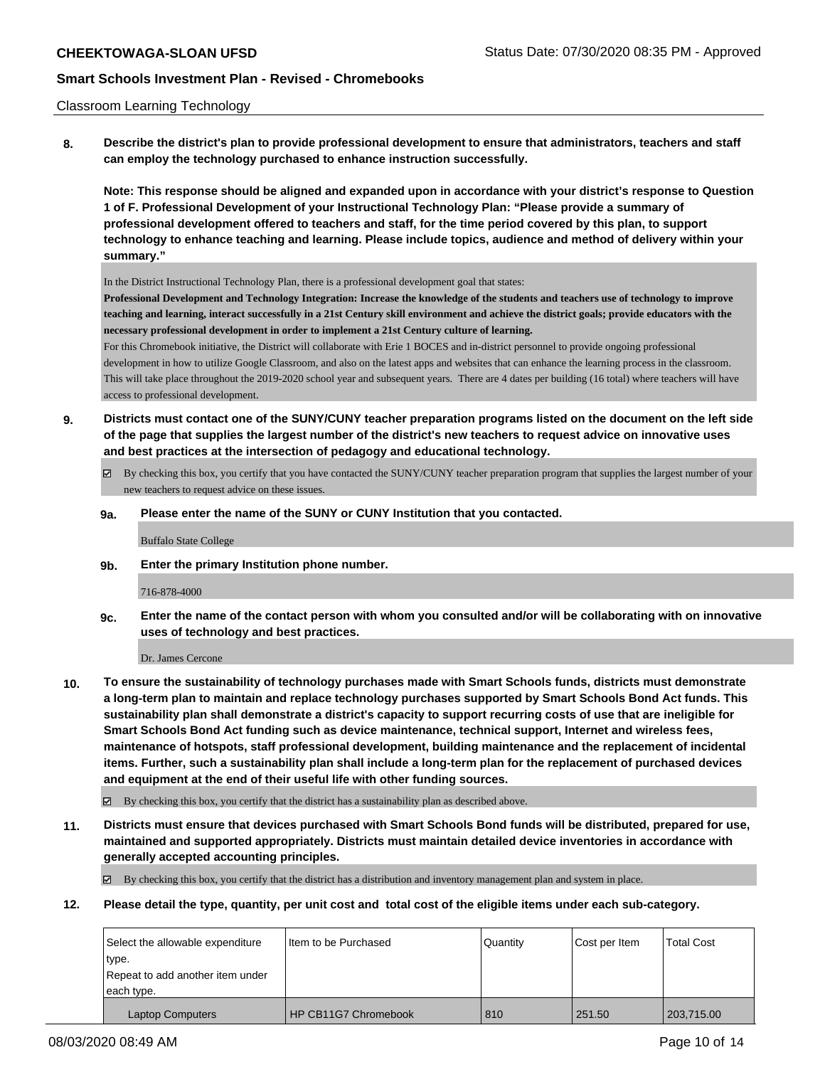## Classroom Learning Technology

**8. Describe the district's plan to provide professional development to ensure that administrators, teachers and staff can employ the technology purchased to enhance instruction successfully.**

**Note: This response should be aligned and expanded upon in accordance with your district's response to Question 1 of F. Professional Development of your Instructional Technology Plan: "Please provide a summary of professional development offered to teachers and staff, for the time period covered by this plan, to support technology to enhance teaching and learning. Please include topics, audience and method of delivery within your summary."**

In the District Instructional Technology Plan, there is a professional development goal that states:

**Professional Development and Technology Integration: Increase the knowledge of the students and teachers use of technology to improve teaching and learning, interact successfully in a 21st Century skill environment and achieve the district goals; provide educators with the necessary professional development in order to implement a 21st Century culture of learning.**

For this Chromebook initiative, the District will collaborate with Erie 1 BOCES and in-district personnel to provide ongoing professional development in how to utilize Google Classroom, and also on the latest apps and websites that can enhance the learning process in the classroom. This will take place throughout the 2019-2020 school year and subsequent years. There are 4 dates per building (16 total) where teachers will have access to professional development.

- **9. Districts must contact one of the SUNY/CUNY teacher preparation programs listed on the document on the left side of the page that supplies the largest number of the district's new teachers to request advice on innovative uses and best practices at the intersection of pedagogy and educational technology.**
	- By checking this box, you certify that you have contacted the SUNY/CUNY teacher preparation program that supplies the largest number of your new teachers to request advice on these issues.
	- **9a. Please enter the name of the SUNY or CUNY Institution that you contacted.**

Buffalo State College

**9b. Enter the primary Institution phone number.**

716-878-4000

**9c. Enter the name of the contact person with whom you consulted and/or will be collaborating with on innovative uses of technology and best practices.**

Dr. James Cercone

**10. To ensure the sustainability of technology purchases made with Smart Schools funds, districts must demonstrate a long-term plan to maintain and replace technology purchases supported by Smart Schools Bond Act funds. This sustainability plan shall demonstrate a district's capacity to support recurring costs of use that are ineligible for Smart Schools Bond Act funding such as device maintenance, technical support, Internet and wireless fees, maintenance of hotspots, staff professional development, building maintenance and the replacement of incidental items. Further, such a sustainability plan shall include a long-term plan for the replacement of purchased devices and equipment at the end of their useful life with other funding sources.**

By checking this box, you certify that the district has a sustainability plan as described above.

**11. Districts must ensure that devices purchased with Smart Schools Bond funds will be distributed, prepared for use, maintained and supported appropriately. Districts must maintain detailed device inventories in accordance with generally accepted accounting principles.**

By checking this box, you certify that the district has a distribution and inventory management plan and system in place.

**12. Please detail the type, quantity, per unit cost and total cost of the eligible items under each sub-category.**

| Select the allowable expenditure | I Item to be Purchased | l Quantitv | Cost per Item | <b>Total Cost</b> |
|----------------------------------|------------------------|------------|---------------|-------------------|
| type.                            |                        |            |               |                   |
| Repeat to add another item under |                        |            |               |                   |
| each type.                       |                        |            |               |                   |
| <b>Laptop Computers</b>          | HP CB11G7 Chromebook   | 810        | 251.50        | 203,715.00        |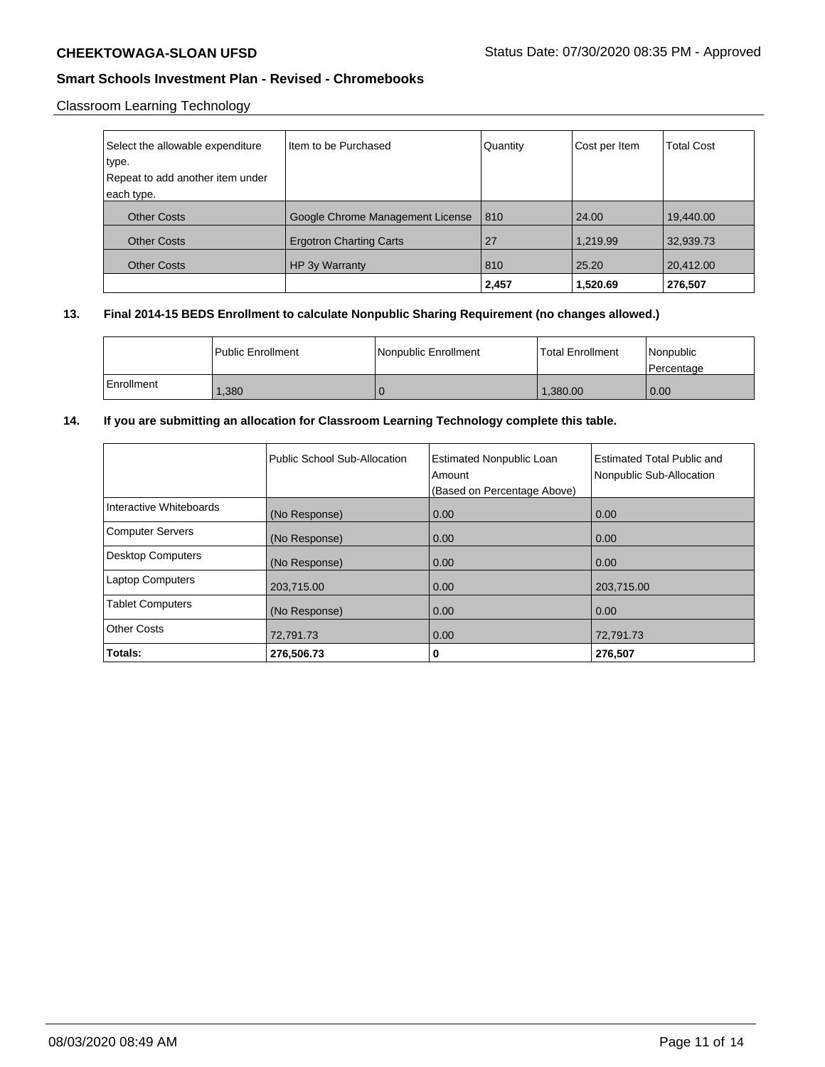# Classroom Learning Technology

| Select the allowable expenditure<br>type.<br>Repeat to add another item under<br>each type. | I Item to be Purchased           | Quantity | Cost per Item | <b>Total Cost</b> |
|---------------------------------------------------------------------------------------------|----------------------------------|----------|---------------|-------------------|
| <b>Other Costs</b>                                                                          | Google Chrome Management License | 810      | 24.00         | 19,440.00         |
| <b>Other Costs</b>                                                                          | <b>Ergotron Charting Carts</b>   | 27       | 1,219.99      | 32,939.73         |
| <b>Other Costs</b>                                                                          | HP 3y Warranty                   | 810      | 25.20         | 20,412.00         |
|                                                                                             |                                  | 2,457    | 1.520.69      | 276,507           |

# **13. Final 2014-15 BEDS Enrollment to calculate Nonpublic Sharing Requirement (no changes allowed.)**

|            | Public Enrollment | Nonpublic Enrollment | <b>Total Enrollment</b> | Nonpublic<br>l Percentage |
|------------|-------------------|----------------------|-------------------------|---------------------------|
| Enrollment | 1,380             |                      | 1,380.00                | 0.00                      |

# **14. If you are submitting an allocation for Classroom Learning Technology complete this table.**

|                          | Public School Sub-Allocation | <b>Estimated Nonpublic Loan</b><br>Amount<br>(Based on Percentage Above) | <b>Estimated Total Public and</b><br>Nonpublic Sub-Allocation |
|--------------------------|------------------------------|--------------------------------------------------------------------------|---------------------------------------------------------------|
| Interactive Whiteboards  | (No Response)                | 0.00                                                                     | 0.00                                                          |
| <b>Computer Servers</b>  | (No Response)                | 0.00                                                                     | 0.00                                                          |
| <b>Desktop Computers</b> | (No Response)                | 0.00                                                                     | 0.00                                                          |
| <b>Laptop Computers</b>  | 203,715.00                   | 0.00                                                                     | 203,715.00                                                    |
| <b>Tablet Computers</b>  | (No Response)                | 0.00                                                                     | 0.00                                                          |
| <b>Other Costs</b>       | 72,791.73                    | 0.00                                                                     | 72,791.73                                                     |
| Totals:                  | 276,506.73                   | 0                                                                        | 276,507                                                       |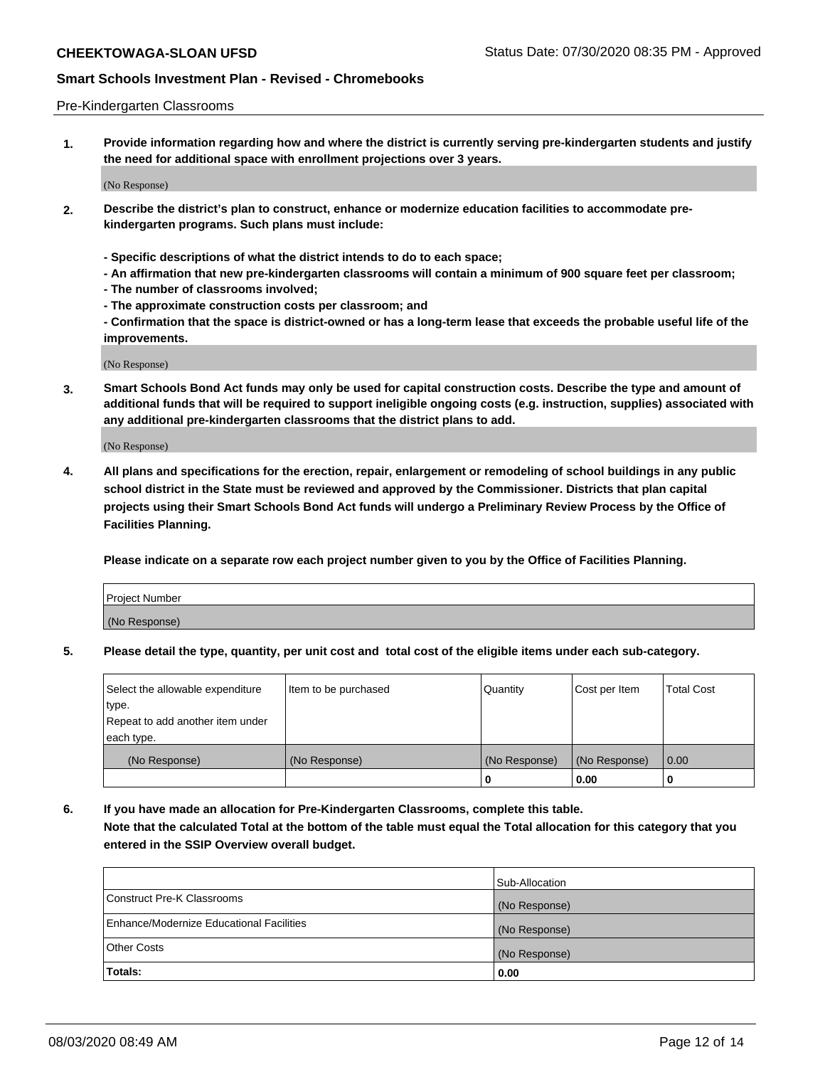## Pre-Kindergarten Classrooms

**1. Provide information regarding how and where the district is currently serving pre-kindergarten students and justify the need for additional space with enrollment projections over 3 years.**

(No Response)

- **2. Describe the district's plan to construct, enhance or modernize education facilities to accommodate prekindergarten programs. Such plans must include:**
	- **Specific descriptions of what the district intends to do to each space;**
	- **An affirmation that new pre-kindergarten classrooms will contain a minimum of 900 square feet per classroom;**
	- **The number of classrooms involved;**
	- **The approximate construction costs per classroom; and**
	- **Confirmation that the space is district-owned or has a long-term lease that exceeds the probable useful life of the improvements.**

(No Response)

**3. Smart Schools Bond Act funds may only be used for capital construction costs. Describe the type and amount of additional funds that will be required to support ineligible ongoing costs (e.g. instruction, supplies) associated with any additional pre-kindergarten classrooms that the district plans to add.**

(No Response)

**4. All plans and specifications for the erection, repair, enlargement or remodeling of school buildings in any public school district in the State must be reviewed and approved by the Commissioner. Districts that plan capital projects using their Smart Schools Bond Act funds will undergo a Preliminary Review Process by the Office of Facilities Planning.**

**Please indicate on a separate row each project number given to you by the Office of Facilities Planning.**

| Project Number |  |
|----------------|--|
| (No Response)  |  |
|                |  |

**5. Please detail the type, quantity, per unit cost and total cost of the eligible items under each sub-category.**

| Select the allowable expenditure | Item to be purchased | Quantity      | Cost per Item | <b>Total Cost</b> |
|----------------------------------|----------------------|---------------|---------------|-------------------|
| type.                            |                      |               |               |                   |
| Repeat to add another item under |                      |               |               |                   |
| each type.                       |                      |               |               |                   |
| (No Response)                    | (No Response)        | (No Response) | (No Response) | 0.00              |
|                                  |                      | U             | 0.00          |                   |

**6. If you have made an allocation for Pre-Kindergarten Classrooms, complete this table. Note that the calculated Total at the bottom of the table must equal the Total allocation for this category that you entered in the SSIP Overview overall budget.**

|                                          | Sub-Allocation |
|------------------------------------------|----------------|
| Construct Pre-K Classrooms               | (No Response)  |
| Enhance/Modernize Educational Facilities | (No Response)  |
| <b>Other Costs</b>                       | (No Response)  |
| Totals:                                  | 0.00           |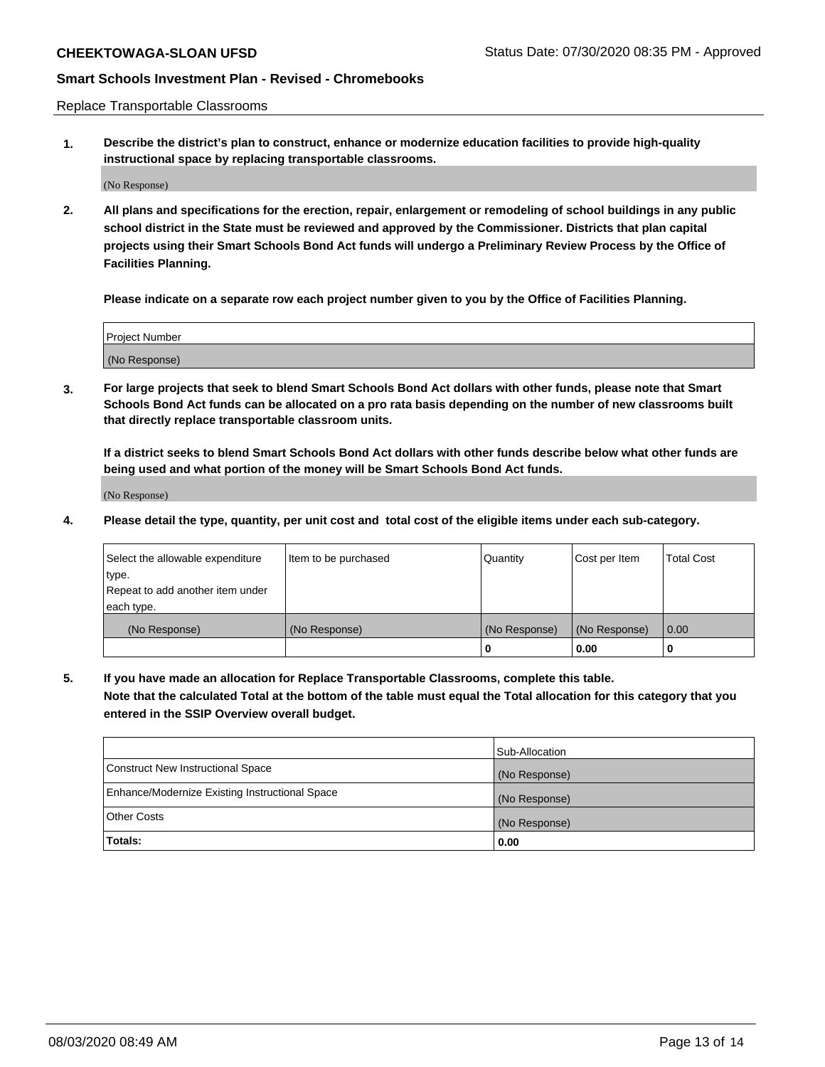Replace Transportable Classrooms

**1. Describe the district's plan to construct, enhance or modernize education facilities to provide high-quality instructional space by replacing transportable classrooms.**

(No Response)

**2. All plans and specifications for the erection, repair, enlargement or remodeling of school buildings in any public school district in the State must be reviewed and approved by the Commissioner. Districts that plan capital projects using their Smart Schools Bond Act funds will undergo a Preliminary Review Process by the Office of Facilities Planning.**

**Please indicate on a separate row each project number given to you by the Office of Facilities Planning.**

| Project Number |  |
|----------------|--|
|                |  |
|                |  |
|                |  |
| (No Response)  |  |
|                |  |
|                |  |

**3. For large projects that seek to blend Smart Schools Bond Act dollars with other funds, please note that Smart Schools Bond Act funds can be allocated on a pro rata basis depending on the number of new classrooms built that directly replace transportable classroom units.**

**If a district seeks to blend Smart Schools Bond Act dollars with other funds describe below what other funds are being used and what portion of the money will be Smart Schools Bond Act funds.**

(No Response)

**4. Please detail the type, quantity, per unit cost and total cost of the eligible items under each sub-category.**

| Select the allowable expenditure           | Item to be purchased | Quantity      | Cost per Item | <b>Total Cost</b> |
|--------------------------------------------|----------------------|---------------|---------------|-------------------|
| ∣type.<br>Repeat to add another item under |                      |               |               |                   |
| each type.                                 |                      |               |               |                   |
| (No Response)                              | (No Response)        | (No Response) | (No Response) | 0.00              |
|                                            |                      | 0             | 0.00          |                   |

**5. If you have made an allocation for Replace Transportable Classrooms, complete this table. Note that the calculated Total at the bottom of the table must equal the Total allocation for this category that you entered in the SSIP Overview overall budget.**

|                                                | Sub-Allocation |
|------------------------------------------------|----------------|
| Construct New Instructional Space              | (No Response)  |
| Enhance/Modernize Existing Instructional Space | (No Response)  |
| <b>Other Costs</b>                             | (No Response)  |
| Totals:                                        | 0.00           |